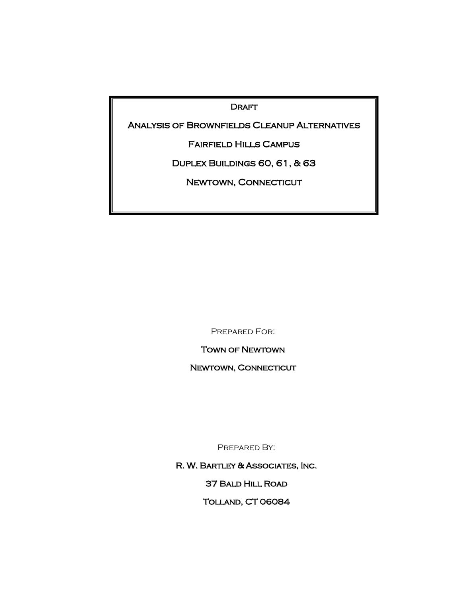DRAFT

Analysis of Brownfields Cleanup Alternatives

Fairfield Hills Campus

Duplex Buildings 60, 61, & 63

NEWTOWN, CONNECTICUT

June 2008

Prepared For:

Town of Newtown

Newtown, Connecticut

PREPARED BY:

R. W. Bartley & Associates, Inc.

37 Bald Hill Road

Tolland, CT 06084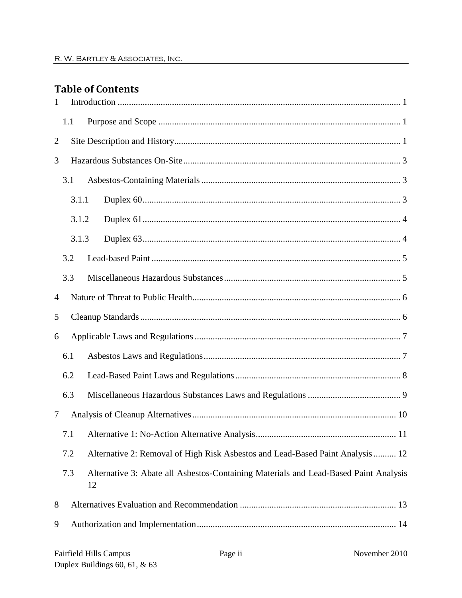# **Table of Contents**

| $\mathbf{1}$   |     |       |                                                                                            |
|----------------|-----|-------|--------------------------------------------------------------------------------------------|
|                | 1.1 |       |                                                                                            |
| $\overline{2}$ |     |       |                                                                                            |
| 3              |     |       |                                                                                            |
|                | 3.1 |       |                                                                                            |
|                |     | 3.1.1 |                                                                                            |
|                |     | 3.1.2 |                                                                                            |
|                |     | 3.1.3 |                                                                                            |
|                | 3.2 |       |                                                                                            |
|                | 3.3 |       |                                                                                            |
| 4              |     |       |                                                                                            |
| 5              |     |       |                                                                                            |
| 6              |     |       |                                                                                            |
|                | 6.1 |       |                                                                                            |
|                | 6.2 |       |                                                                                            |
|                | 6.3 |       |                                                                                            |
| 7              |     |       |                                                                                            |
|                |     |       |                                                                                            |
|                | 7.2 |       | Alternative 2: Removal of High Risk Asbestos and Lead-Based Paint Analysis  12             |
|                | 7.3 |       | Alternative 3: Abate all Asbestos-Containing Materials and Lead-Based Paint Analysis<br>12 |
| 8              |     |       |                                                                                            |
| 9              |     |       |                                                                                            |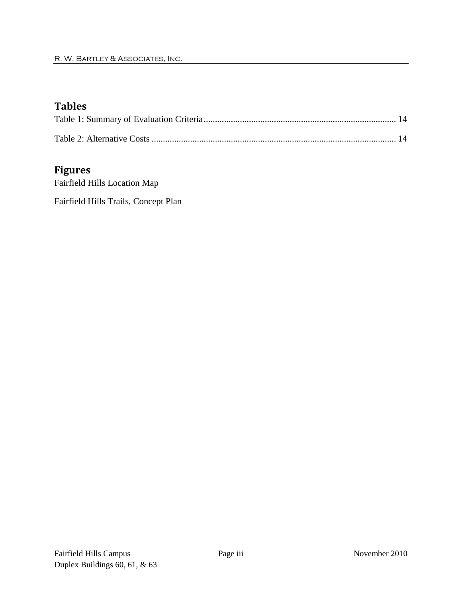# **Tables**

## **Figures**

Fairfield Hills Location Map Fairfield Hills Trails, Concept Plan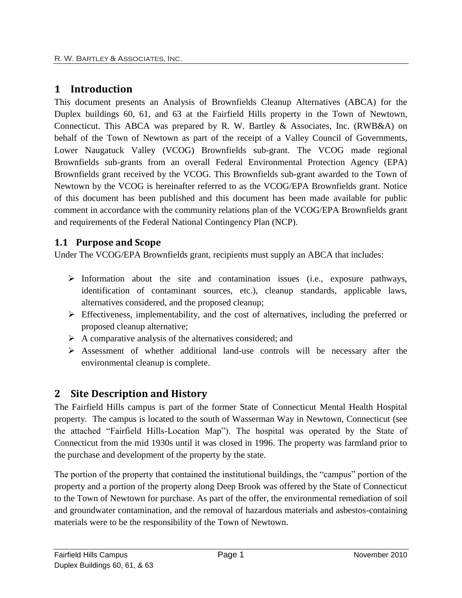# <span id="page-3-0"></span>**1 Introduction**

This document presents an Analysis of Brownfields Cleanup Alternatives (ABCA) for the Duplex buildings 60, 61, and 63 at the Fairfield Hills property in the Town of Newtown, Connecticut. This ABCA was prepared by R. W. Bartley & Associates, Inc. (RWB&A) on behalf of the Town of Newtown as part of the receipt of a Valley Council of Governments, Lower Naugatuck Valley (VCOG) Brownfields sub-grant. The VCOG made regional Brownfields sub-grants from an overall Federal Environmental Protection Agency (EPA) Brownfields grant received by the VCOG. This Brownfields sub-grant awarded to the Town of Newtown by the VCOG is hereinafter referred to as the VCOG/EPA Brownfields grant. Notice of this document has been published and this document has been made available for public comment in accordance with the community relations plan of the VCOG/EPA Brownfields grant and requirements of the Federal National Contingency Plan (NCP).

## <span id="page-3-1"></span>**1.1 Purpose and Scope**

Under The VCOG/EPA Brownfields grant, recipients must supply an ABCA that includes:

- $\triangleright$  Information about the site and contamination issues (i.e., exposure pathways, identification of contaminant sources, etc.), cleanup standards, applicable laws, alternatives considered, and the proposed cleanup;
- $\triangleright$  Effectiveness, implementability, and the cost of alternatives, including the preferred or proposed cleanup alternative;
- $\triangleright$  A comparative analysis of the alternatives considered; and
- Assessment of whether additional land-use controls will be necessary after the environmental cleanup is complete.

# <span id="page-3-2"></span>**2 Site Description and History**

The Fairfield Hills campus is part of the former State of Connecticut Mental Health Hospital property. The campus is located to the south of Wasserman Way in Newtown, Connecticut (see the attached "Fairfield Hills-Location Map"). The hospital was operated by the State of Connecticut from the mid 1930s until it was closed in 1996. The property was farmland prior to the purchase and development of the property by the state.

The portion of the property that contained the institutional buildings, the "campus" portion of the property and a portion of the property along Deep Brook was offered by the State of Connecticut to the Town of Newtown for purchase. As part of the offer, the environmental remediation of soil and groundwater contamination, and the removal of hazardous materials and asbestos-containing materials were to be the responsibility of the Town of Newtown.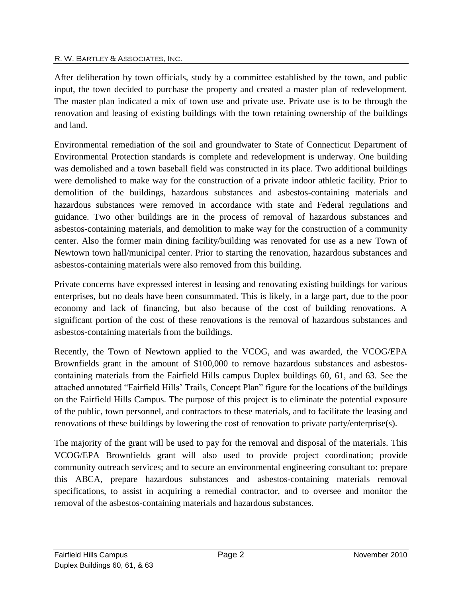After deliberation by town officials, study by a committee established by the town, and public input, the town decided to purchase the property and created a master plan of redevelopment. The master plan indicated a mix of town use and private use. Private use is to be through the renovation and leasing of existing buildings with the town retaining ownership of the buildings and land.

Environmental remediation of the soil and groundwater to State of Connecticut Department of Environmental Protection standards is complete and redevelopment is underway. One building was demolished and a town baseball field was constructed in its place. Two additional buildings were demolished to make way for the construction of a private indoor athletic facility. Prior to demolition of the buildings, hazardous substances and asbestos-containing materials and hazardous substances were removed in accordance with state and Federal regulations and guidance. Two other buildings are in the process of removal of hazardous substances and asbestos-containing materials, and demolition to make way for the construction of a community center. Also the former main dining facility/building was renovated for use as a new Town of Newtown town hall/municipal center. Prior to starting the renovation, hazardous substances and asbestos-containing materials were also removed from this building.

Private concerns have expressed interest in leasing and renovating existing buildings for various enterprises, but no deals have been consummated. This is likely, in a large part, due to the poor economy and lack of financing, but also because of the cost of building renovations. A significant portion of the cost of these renovations is the removal of hazardous substances and asbestos-containing materials from the buildings.

Recently, the Town of Newtown applied to the VCOG, and was awarded, the VCOG/EPA Brownfields grant in the amount of \$100,000 to remove hazardous substances and asbestoscontaining materials from the Fairfield Hills campus Duplex buildings 60, 61, and 63. See the attached annotated "Fairfield Hills' Trails, Concept Plan" figure for the locations of the buildings on the Fairfield Hills Campus. The purpose of this project is to eliminate the potential exposure of the public, town personnel, and contractors to these materials, and to facilitate the leasing and renovations of these buildings by lowering the cost of renovation to private party/enterprise(s).

The majority of the grant will be used to pay for the removal and disposal of the materials. This VCOG/EPA Brownfields grant will also used to provide project coordination; provide community outreach services; and to secure an environmental engineering consultant to: prepare this ABCA, prepare hazardous substances and asbestos-containing materials removal specifications, to assist in acquiring a remedial contractor, and to oversee and monitor the removal of the asbestos-containing materials and hazardous substances.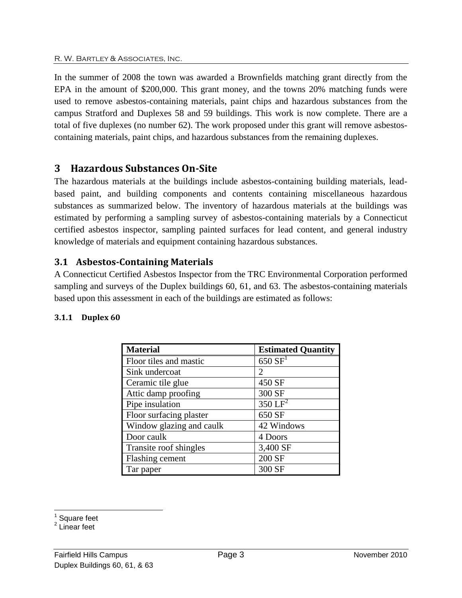In the summer of 2008 the town was awarded a Brownfields matching grant directly from the EPA in the amount of \$200,000. This grant money, and the towns 20% matching funds were used to remove asbestos-containing materials, paint chips and hazardous substances from the campus Stratford and Duplexes 58 and 59 buildings. This work is now complete. There are a total of five duplexes (no number 62). The work proposed under this grant will remove asbestoscontaining materials, paint chips, and hazardous substances from the remaining duplexes.

## <span id="page-5-0"></span>**3 Hazardous Substances On-Site**

The hazardous materials at the buildings include asbestos-containing building materials, leadbased paint, and building components and contents containing miscellaneous hazardous substances as summarized below. The inventory of hazardous materials at the buildings was estimated by performing a sampling survey of asbestos-containing materials by a Connecticut certified asbestos inspector, sampling painted surfaces for lead content, and general industry knowledge of materials and equipment containing hazardous substances.

### <span id="page-5-1"></span>**3.1 Asbestos-Containing Materials**

A Connecticut Certified Asbestos Inspector from the TRC Environmental Corporation performed sampling and surveys of the Duplex buildings 60, 61, and 63. The asbestos-containing materials based upon this assessment in each of the buildings are estimated as follows:

#### <span id="page-5-2"></span>**3.1.1 Duplex 60**

| <b>Material</b>          | <b>Estimated Quantity</b>   |
|--------------------------|-----------------------------|
| Floor tiles and mastic   | $650 \text{ SF}^1$          |
| Sink undercoat           | $\mathcal{D}_{\mathcal{L}}$ |
| Ceramic tile glue        | 450 SF                      |
| Attic damp proofing      | 300 SF                      |
| Pipe insulation          | $350 \mathrm{LF}^2$         |
| Floor surfacing plaster  | 650 SF                      |
| Window glazing and caulk | 42 Windows                  |
| Door caulk               | 4 Doors                     |
| Transite roof shingles   | 3,400 SF                    |
| Flashing cement          | 200 SF                      |
| Tar paper                | 300 SF                      |

<span id="page-5-3"></span> <sup>1</sup> Square feet<br><sup>2</sup> Linear feet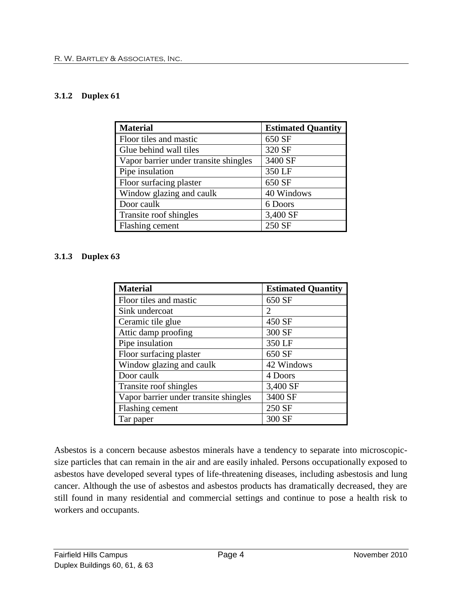#### **3.1.2 Duplex 61**

| <b>Material</b>                       | <b>Estimated Quantity</b> |
|---------------------------------------|---------------------------|
| Floor tiles and mastic                | 650 SF                    |
| Glue behind wall tiles                | 320 SF                    |
| Vapor barrier under transite shingles | 3400 SF                   |
| Pipe insulation                       | 350 LF                    |
| Floor surfacing plaster               | 650 SF                    |
| Window glazing and caulk              | 40 Windows                |
| Door caulk                            | 6 Doors                   |
| Transite roof shingles                | 3,400 SF                  |
| Flashing cement                       | 250 SF                    |

#### <span id="page-6-0"></span>**3.1.3 Duplex 63**

| <b>Material</b>                       | <b>Estimated Quantity</b> |
|---------------------------------------|---------------------------|
| Floor tiles and mastic                | 650 SF                    |
| Sink undercoat                        | 2                         |
| Ceramic tile glue                     | 450 SF                    |
| Attic damp proofing                   | 300 SF                    |
| Pipe insulation                       | 350 LF                    |
| Floor surfacing plaster               | 650 SF                    |
| Window glazing and caulk              | 42 Windows                |
| Door caulk                            | 4 Doors                   |
| Transite roof shingles                | 3,400 SF                  |
| Vapor barrier under transite shingles | 3400 SF                   |
| Flashing cement                       | 250 SF                    |
| Tar paper                             | 300 SF                    |

Asbestos is a concern because asbestos minerals have a tendency to separate into microscopicsize particles that can remain in the air and are easily inhaled. Persons occupationally exposed to asbestos have developed several types of life-threatening diseases, including asbestosis and lung cancer. Although the use of asbestos and asbestos products has dramatically decreased, they are still found in many residential and commercial settings and continue to pose a health risk to workers and occupants.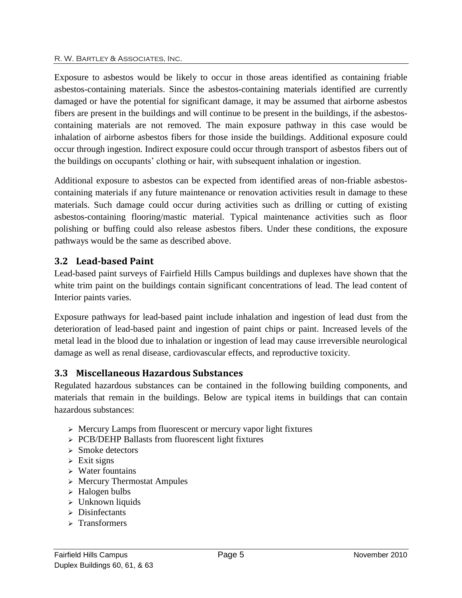Exposure to asbestos would be likely to occur in those areas identified as containing friable asbestos-containing materials. Since the asbestos-containing materials identified are currently damaged or have the potential for significant damage, it may be assumed that airborne asbestos fibers are present in the buildings and will continue to be present in the buildings, if the asbestoscontaining materials are not removed. The main exposure pathway in this case would be inhalation of airborne asbestos fibers for those inside the buildings. Additional exposure could occur through ingestion. Indirect exposure could occur through transport of asbestos fibers out of the buildings on occupants' clothing or hair, with subsequent inhalation or ingestion.

Additional exposure to asbestos can be expected from identified areas of non-friable asbestoscontaining materials if any future maintenance or renovation activities result in damage to these materials. Such damage could occur during activities such as drilling or cutting of existing asbestos-containing flooring/mastic material. Typical maintenance activities such as floor polishing or buffing could also release asbestos fibers. Under these conditions, the exposure pathways would be the same as described above.

## <span id="page-7-0"></span>**3.2 Lead-based Paint**

Lead-based paint surveys of Fairfield Hills Campus buildings and duplexes have shown that the white trim paint on the buildings contain significant concentrations of lead. The lead content of Interior paints varies.

Exposure pathways for lead-based paint include inhalation and ingestion of lead dust from the deterioration of lead-based paint and ingestion of paint chips or paint. Increased levels of the metal [lead](http://en.wikipedia.org/wiki/Lead) in the blood due to inhalation or ingestion of lead may cause irreversible [neurological](http://en.wikipedia.org/wiki/Neurological) damage as well as [renal disease,](http://en.wikipedia.org/wiki/Renal_disease) [cardiovascular](http://en.wikipedia.org/wiki/Cardiovascular) effects, and [reproductive](http://en.wikipedia.org/wiki/Human_reproduction) toxicity.

## <span id="page-7-1"></span>**3.3 Miscellaneous Hazardous Substances**

Regulated hazardous substances can be contained in the following building components, and materials that remain in the buildings. Below are typical items in buildings that can contain hazardous substances:

- $\triangleright$  Mercury Lamps from fluorescent or mercury vapor light fixtures
- > PCB/DEHP Ballasts from fluorescent light fixtures
- $\ge$  Smoke detectors
- $\triangleright$  Exit signs
- Water fountains
- $\triangleright$  Mercury Thermostat Ampules
- $\triangleright$  Halogen bulbs
- $\triangleright$  Unknown liquids
- $\triangleright$  Disinfectants
- $\triangleright$  Transformers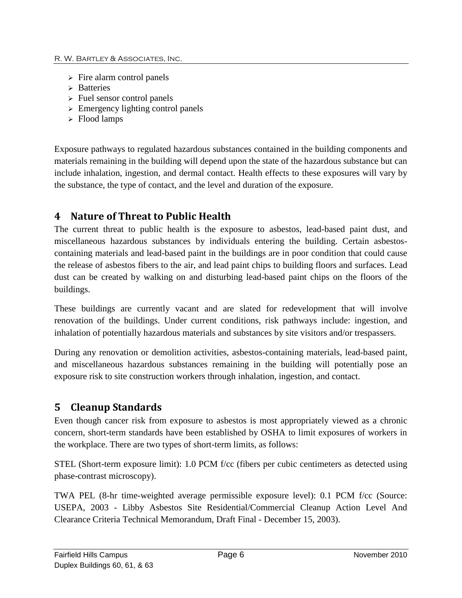- $\triangleright$  Fire alarm control panels
- $\triangleright$  Batteries
- $\triangleright$  Fuel sensor control panels
- $\geq$  Emergency lighting control panels
- $\triangleright$  Flood lamps

Exposure pathways to regulated hazardous substances contained in the building components and materials remaining in the building will depend upon the state of the hazardous substance but can include inhalation, ingestion, and dermal contact. Health effects to these exposures will vary by the substance, the type of contact, and the level and duration of the exposure.

## <span id="page-8-0"></span>**4 Nature of Threat to Public Health**

The current threat to public health is the exposure to asbestos, lead-based paint dust, and miscellaneous hazardous substances by individuals entering the building. Certain asbestoscontaining materials and lead-based paint in the buildings are in poor condition that could cause the release of asbestos fibers to the air, and lead paint chips to building floors and surfaces. Lead dust can be created by walking on and disturbing lead-based paint chips on the floors of the buildings.

These buildings are currently vacant and are slated for redevelopment that will involve renovation of the buildings. Under current conditions, risk pathways include: ingestion, and inhalation of potentially hazardous materials and substances by site visitors and/or trespassers.

During any renovation or demolition activities, asbestos-containing materials, lead-based paint, and miscellaneous hazardous substances remaining in the building will potentially pose an exposure risk to site construction workers through inhalation, ingestion, and contact.

## <span id="page-8-1"></span>**5 Cleanup Standards**

Even though cancer risk from exposure to asbestos is most appropriately viewed as a chronic concern, short-term standards have been established by OSHA to limit exposures of workers in the workplace. There are two types of short-term limits, as follows:

STEL (Short-term exposure limit): 1.0 PCM f/cc (fibers per cubic centimeters as detected using phase-contrast microscopy).

TWA PEL (8-hr time-weighted average permissible exposure level): 0.1 PCM f/cc (Source: USEPA, 2003 - Libby Asbestos Site Residential/Commercial Cleanup Action Level And Clearance Criteria Technical Memorandum, Draft Final - December 15, 2003).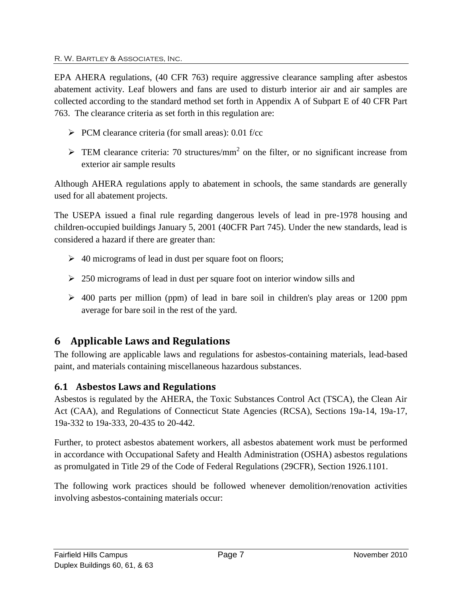EPA AHERA regulations, (40 CFR 763) require aggressive clearance sampling after asbestos abatement activity. Leaf blowers and fans are used to disturb interior air and air samples are collected according to the standard method set forth in Appendix A of Subpart E of 40 CFR Part 763. The clearance criteria as set forth in this regulation are:

- $\triangleright$  PCM clearance criteria (for small areas): 0.01 f/cc
- $\triangleright$  TEM clearance criteria: 70 structures/mm<sup>2</sup> on the filter, or no significant increase from exterior air sample results

Although AHERA regulations apply to abatement in schools, the same standards are generally used for all abatement projects.

The USEPA issued a final rule regarding dangerous levels of lead in pre-1978 housing and children-occupied buildings January 5, 2001 (40CFR Part 745). Under the new standards, lead is considered a hazard if there are greater than:

- $\geq 40$  micrograms of lead in dust per square foot on floors;
- $\geq$  250 micrograms of lead in dust per square foot on interior window sills and
- $\geq$  400 parts per million (ppm) of lead in bare soil in children's play areas or 1200 ppm average for bare soil in the rest of the yard.

# <span id="page-9-0"></span>**6 Applicable Laws and Regulations**

The following are applicable laws and regulations for asbestos-containing materials, lead-based paint, and materials containing miscellaneous hazardous substances.

## <span id="page-9-1"></span>**6.1 Asbestos Laws and Regulations**

Asbestos is regulated by the AHERA, the Toxic Substances Control Act (TSCA), the Clean Air Act (CAA), and Regulations of Connecticut State Agencies (RCSA), Sections 19a-14, 19a-17, 19a-332 to 19a-333, 20-435 to 20-442.

Further, to protect asbestos abatement workers, all asbestos abatement work must be performed in accordance with Occupational Safety and Health Administration (OSHA) asbestos regulations as promulgated in Title 29 of the Code of Federal Regulations (29CFR), Section 1926.1101.

The following work practices should be followed whenever demolition/renovation activities involving asbestos-containing materials occur: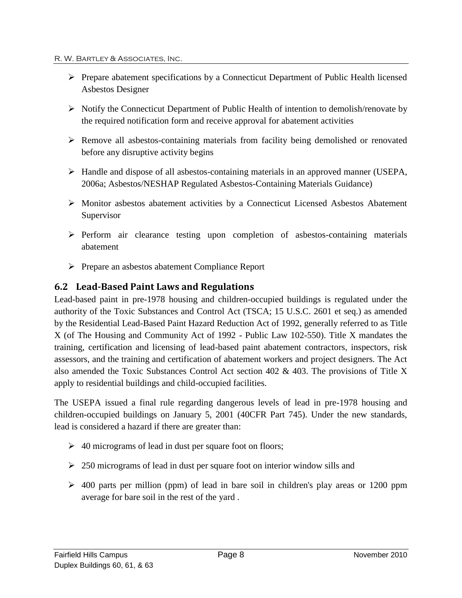- $\triangleright$  Prepare abatement specifications by a Connecticut Department of Public Health licensed Asbestos Designer
- $\triangleright$  Notify the Connecticut Department of Public Health of intention to demolish/renovate by the required notification form and receive approval for abatement activities
- Remove all asbestos-containing materials from facility being demolished or renovated before any disruptive activity begins
- $\triangleright$  Handle and dispose of all asbestos-containing materials in an approved manner (USEPA, 2006a; Asbestos/NESHAP Regulated Asbestos-Containing Materials Guidance)
- $\triangleright$  Monitor asbestos abatement activities by a Connecticut Licensed Asbestos Abatement Supervisor
- $\triangleright$  Perform air clearance testing upon completion of asbestos-containing materials abatement
- Prepare an asbestos abatement Compliance Report

### <span id="page-10-0"></span>**6.2 Lead-Based Paint Laws and Regulations**

Lead-based paint in pre-1978 housing and children-occupied buildings is regulated under the authority of the Toxic Substances and Control Act (TSCA; 15 U.S.C. 2601 et seq.) as amended by the Residential Lead-Based Paint Hazard Reduction Act of 1992, generally referred to as Title X (of The Housing and Community Act of 1992 - Public Law 102-550). Title X mandates the training, certification and licensing of lead-based paint abatement contractors, inspectors, risk assessors, and the training and certification of abatement workers and project designers. The Act also amended the Toxic Substances Control Act section 402 & 403. The provisions of Title X apply to residential buildings and child-occupied facilities.

The USEPA issued a final rule regarding dangerous levels of lead in pre-1978 housing and children-occupied buildings on January 5, 2001 (40CFR Part 745). Under the new standards, lead is considered a hazard if there are greater than:

- $\geq 40$  micrograms of lead in dust per square foot on floors;
- $\geq$  250 micrograms of lead in dust per square foot on interior window sills and
- $\geq$  400 parts per million (ppm) of lead in bare soil in children's play areas or 1200 ppm average for bare soil in the rest of the yard .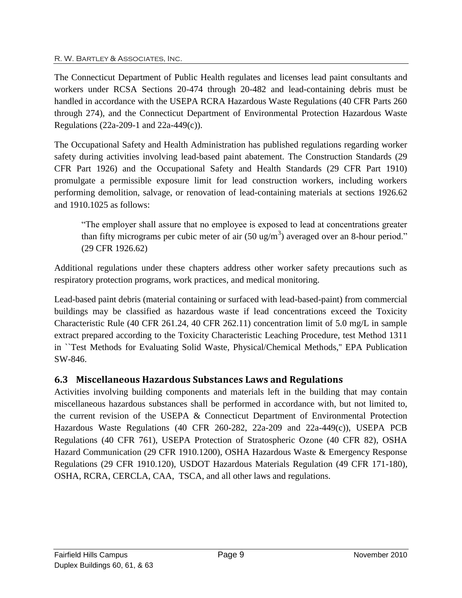The Connecticut Department of Public Health regulates and licenses lead paint consultants and workers under RCSA Sections 20-474 through 20-482 and lead-containing debris must be handled in accordance with the USEPA RCRA Hazardous Waste Regulations (40 CFR Parts 260 through 274), and the Connecticut Department of Environmental Protection Hazardous Waste Regulations (22a-209-1 and 22a-449(c)).

The Occupational Safety and Health Administration has published regulations regarding worker safety during activities involving lead-based paint abatement. The Construction Standards (29 CFR Part 1926) and the Occupational Safety and Health Standards (29 CFR Part 1910) promulgate a permissible exposure limit for lead construction workers, including workers performing demolition, salvage, or renovation of lead-containing materials at sections 1926.62 and 1910.1025 as follows:

"The employer shall assure that no employee is exposed to lead at concentrations greater than fifty micrograms per cubic meter of air  $(50 \text{ ug/m}^3)$  averaged over an 8-hour period." (29 CFR 1926.62)

Additional regulations under these chapters address other worker safety precautions such as respiratory protection programs, work practices, and medical monitoring.

Lead-based paint debris (material containing or surfaced with lead-based-paint) from commercial buildings may be classified as hazardous waste if lead concentrations exceed the Toxicity Characteristic Rule (40 CFR 261.24, 40 CFR 262.11) concentration limit of 5.0 mg/L in sample extract prepared according to the Toxicity Characteristic Leaching Procedure, test Method 1311 in ``Test Methods for Evaluating Solid Waste, Physical/Chemical Methods,'' EPA Publication SW-846.

## <span id="page-11-0"></span>**6.3 Miscellaneous Hazardous Substances Laws and Regulations**

Activities involving building components and materials left in the building that may contain miscellaneous hazardous substances shall be performed in accordance with, but not limited to, the current revision of the USEPA & Connecticut Department of Environmental Protection Hazardous Waste Regulations (40 CFR 260-282, 22a-209 and 22a-449(c)), USEPA PCB Regulations (40 CFR 761), USEPA Protection of Stratospheric Ozone (40 CFR 82), OSHA Hazard Communication (29 CFR 1910.1200), OSHA Hazardous Waste & Emergency Response Regulations (29 CFR 1910.120), USDOT Hazardous Materials Regulation (49 CFR 171-180), OSHA, RCRA, CERCLA, CAA, TSCA, and all other laws and regulations.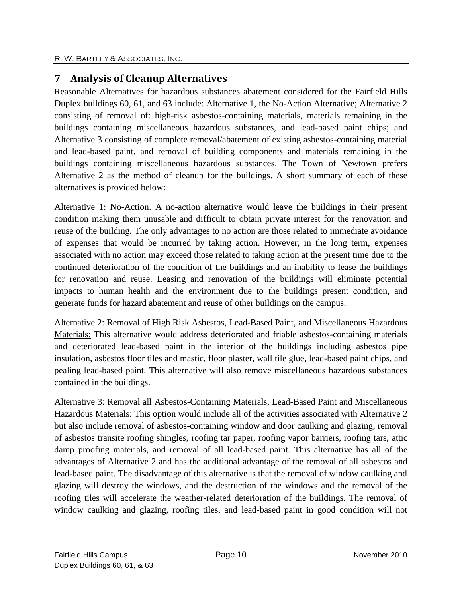# <span id="page-12-0"></span>**7 Analysis of Cleanup Alternatives**

Reasonable Alternatives for hazardous substances abatement considered for the Fairfield Hills Duplex buildings 60, 61, and 63 include: Alternative 1, the No-Action Alternative; Alternative 2 consisting of removal of: high-risk asbestos-containing materials, materials remaining in the buildings containing miscellaneous hazardous substances, and lead-based paint chips; and Alternative 3 consisting of complete removal/abatement of existing asbestos-containing material and lead-based paint, and removal of building components and materials remaining in the buildings containing miscellaneous hazardous substances. The Town of Newtown prefers Alternative 2 as the method of cleanup for the buildings. A short summary of each of these alternatives is provided below:

Alternative 1: No-Action. A no-action alternative would leave the buildings in their present condition making them unusable and difficult to obtain private interest for the renovation and reuse of the building. The only advantages to no action are those related to immediate avoidance of expenses that would be incurred by taking action. However, in the long term, expenses associated with no action may exceed those related to taking action at the present time due to the continued deterioration of the condition of the buildings and an inability to lease the buildings for renovation and reuse. Leasing and renovation of the buildings will eliminate potential impacts to human health and the environment due to the buildings present condition, and generate funds for hazard abatement and reuse of other buildings on the campus.

Alternative 2: Removal of High Risk Asbestos, Lead-Based Paint, and Miscellaneous Hazardous Materials: This alternative would address deteriorated and friable asbestos-containing materials and deteriorated lead-based paint in the interior of the buildings including asbestos pipe insulation, asbestos floor tiles and mastic, floor plaster, wall tile glue, lead-based paint chips, and pealing lead-based paint. This alternative will also remove miscellaneous hazardous substances contained in the buildings.

Alternative 3: Removal all Asbestos-Containing Materials, Lead-Based Paint and Miscellaneous Hazardous Materials: This option would include all of the activities associated with Alternative 2 but also include removal of asbestos-containing window and door caulking and glazing, removal of asbestos transite roofing shingles, roofing tar paper, roofing vapor barriers, roofing tars, attic damp proofing materials, and removal of all lead-based paint. This alternative has all of the advantages of Alternative 2 and has the additional advantage of the removal of all asbestos and lead-based paint. The disadvantage of this alternative is that the removal of window caulking and glazing will destroy the windows, and the destruction of the windows and the removal of the roofing tiles will accelerate the weather-related deterioration of the buildings. The removal of window caulking and glazing, roofing tiles, and lead-based paint in good condition will not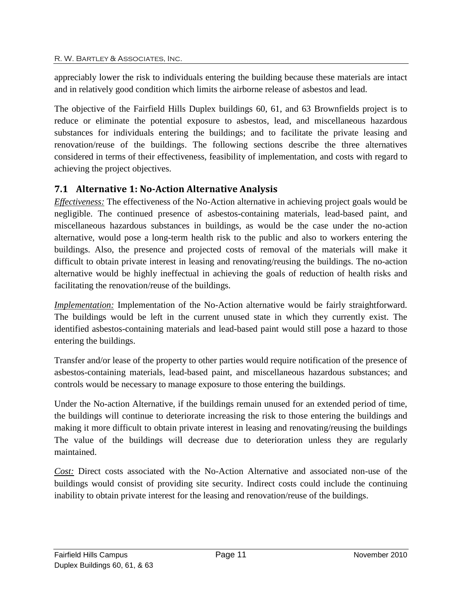appreciably lower the risk to individuals entering the building because these materials are intact and in relatively good condition which limits the airborne release of asbestos and lead.

The objective of the Fairfield Hills Duplex buildings 60, 61, and 63 Brownfields project is to reduce or eliminate the potential exposure to asbestos, lead, and miscellaneous hazardous substances for individuals entering the buildings; and to facilitate the private leasing and renovation/reuse of the buildings. The following sections describe the three alternatives considered in terms of their effectiveness, feasibility of implementation, and costs with regard to achieving the project objectives.

## <span id="page-13-0"></span>**7.1 Alternative 1: No-Action Alternative Analysis**

*Effectiveness:* The effectiveness of the No-Action alternative in achieving project goals would be negligible. The continued presence of asbestos-containing materials, lead-based paint, and miscellaneous hazardous substances in buildings, as would be the case under the no-action alternative, would pose a long-term health risk to the public and also to workers entering the buildings. Also, the presence and projected costs of removal of the materials will make it difficult to obtain private interest in leasing and renovating/reusing the buildings. The no-action alternative would be highly ineffectual in achieving the goals of reduction of health risks and facilitating the renovation/reuse of the buildings.

*Implementation:* Implementation of the No-Action alternative would be fairly straightforward. The buildings would be left in the current unused state in which they currently exist. The identified asbestos-containing materials and lead-based paint would still pose a hazard to those entering the buildings.

Transfer and/or lease of the property to other parties would require notification of the presence of asbestos-containing materials, lead-based paint, and miscellaneous hazardous substances; and controls would be necessary to manage exposure to those entering the buildings.

Under the No-action Alternative, if the buildings remain unused for an extended period of time, the buildings will continue to deteriorate increasing the risk to those entering the buildings and making it more difficult to obtain private interest in leasing and renovating/reusing the buildings The value of the buildings will decrease due to deterioration unless they are regularly maintained.

*Cost:* Direct costs associated with the No-Action Alternative and associated non-use of the buildings would consist of providing site security. Indirect costs could include the continuing inability to obtain private interest for the leasing and renovation/reuse of the buildings.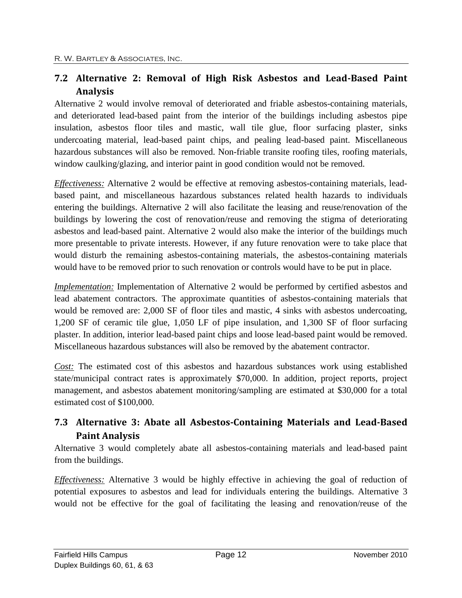## <span id="page-14-0"></span>**7.2 Alternative 2: Removal of High Risk Asbestos and Lead-Based Paint Analysis**

Alternative 2 would involve removal of deteriorated and friable asbestos-containing materials, and deteriorated lead-based paint from the interior of the buildings including asbestos pipe insulation, asbestos floor tiles and mastic, wall tile glue, floor surfacing plaster, sinks undercoating material, lead-based paint chips, and pealing lead-based paint. Miscellaneous hazardous substances will also be removed. Non-friable transite roofing tiles, roofing materials, window caulking/glazing, and interior paint in good condition would not be removed.

*Effectiveness:* Alternative 2 would be effective at removing asbestos-containing materials, leadbased paint, and miscellaneous hazardous substances related health hazards to individuals entering the buildings. Alternative 2 will also facilitate the leasing and reuse/renovation of the buildings by lowering the cost of renovation/reuse and removing the stigma of deteriorating asbestos and lead-based paint. Alternative 2 would also make the interior of the buildings much more presentable to private interests. However, if any future renovation were to take place that would disturb the remaining asbestos-containing materials, the asbestos-containing materials would have to be removed prior to such renovation or controls would have to be put in place.

*Implementation:* Implementation of Alternative 2 would be performed by certified asbestos and lead abatement contractors. The approximate quantities of asbestos-containing materials that would be removed are: 2,000 SF of floor tiles and mastic, 4 sinks with asbestos undercoating, 1,200 SF of ceramic tile glue, 1,050 LF of pipe insulation, and 1,300 SF of floor surfacing plaster. In addition, interior lead-based paint chips and loose lead-based paint would be removed. Miscellaneous hazardous substances will also be removed by the abatement contractor.

*Cost:* The estimated cost of this asbestos and hazardous substances work using established state/municipal contract rates is approximately \$70,000. In addition, project reports, project management, and asbestos abatement monitoring/sampling are estimated at \$30,000 for a total estimated cost of \$100,000.

## <span id="page-14-1"></span>**7.3 Alternative 3: Abate all Asbestos-Containing Materials and Lead-Based Paint Analysis**

Alternative 3 would completely abate all asbestos-containing materials and lead-based paint from the buildings.

*Effectiveness:* Alternative 3 would be highly effective in achieving the goal of reduction of potential exposures to asbestos and lead for individuals entering the buildings. Alternative 3 would not be effective for the goal of facilitating the leasing and renovation/reuse of the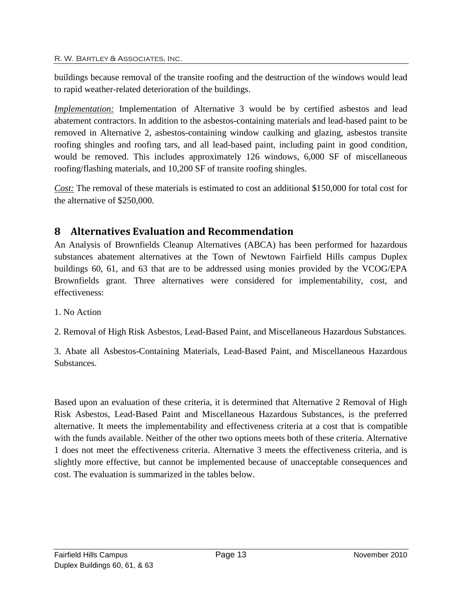buildings because removal of the transite roofing and the destruction of the windows would lead to rapid weather-related deterioration of the buildings.

*Implementation:* Implementation of Alternative 3 would be by certified asbestos and lead abatement contractors. In addition to the asbestos-containing materials and lead-based paint to be removed in Alternative 2, asbestos-containing window caulking and glazing, asbestos transite roofing shingles and roofing tars, and all lead-based paint, including paint in good condition, would be removed. This includes approximately 126 windows, 6,000 SF of miscellaneous roofing/flashing materials, and 10,200 SF of transite roofing shingles.

*Cost:* The removal of these materials is estimated to cost an additional \$150,000 for total cost for the alternative of \$250,000.

## <span id="page-15-0"></span>**8 Alternatives Evaluation and Recommendation**

An Analysis of Brownfields Cleanup Alternatives (ABCA) has been performed for hazardous substances abatement alternatives at the Town of Newtown Fairfield Hills campus Duplex buildings 60, 61, and 63 that are to be addressed using monies provided by the VCOG/EPA Brownfields grant. Three alternatives were considered for implementability, cost, and effectiveness:

1. No Action

2. Removal of High Risk Asbestos, Lead-Based Paint, and Miscellaneous Hazardous Substances.

3. Abate all Asbestos-Containing Materials, Lead-Based Paint, and Miscellaneous Hazardous Substances.

Based upon an evaluation of these criteria, it is determined that Alternative 2 Removal of High Risk Asbestos, Lead-Based Paint and Miscellaneous Hazardous Substances, is the preferred alternative. It meets the implementability and effectiveness criteria at a cost that is compatible with the funds available. Neither of the other two options meets both of these criteria. Alternative 1 does not meet the effectiveness criteria. Alternative 3 meets the effectiveness criteria, and is slightly more effective, but cannot be implemented because of unacceptable consequences and cost. The evaluation is summarized in the tables below.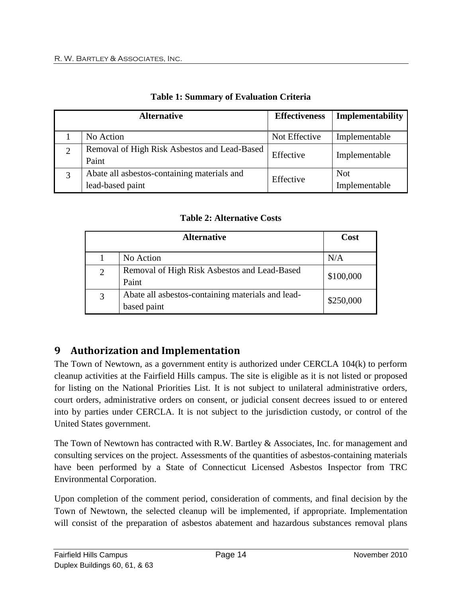<span id="page-16-1"></span>

| <b>Alternative</b> |                                                                 | <b>Effectiveness</b> | Implementability            |
|--------------------|-----------------------------------------------------------------|----------------------|-----------------------------|
|                    | No Action                                                       | Not Effective        | Implementable               |
| 2                  | Removal of High Risk Asbestos and Lead-Based<br>Paint           | Effective            | Implementable               |
| 3                  | Abate all asbestos-containing materials and<br>lead-based paint | Effective            | <b>Not</b><br>Implementable |

#### **Table 1: Summary of Evaluation Criteria**

## **Table 2: Alternative Costs**

<span id="page-16-2"></span>

|                | <b>Alternative</b>                                               | Cost      |
|----------------|------------------------------------------------------------------|-----------|
|                | No Action                                                        | N/A       |
| $\overline{2}$ | Removal of High Risk Asbestos and Lead-Based<br>Paint            | \$100,000 |
| 3              | Abate all asbestos-containing materials and lead-<br>based paint | \$250,000 |

# <span id="page-16-0"></span>**9 Authorization and Implementation**

The Town of Newtown, as a government entity is authorized under CERCLA 104(k) to perform cleanup activities at the Fairfield Hills campus. The site is eligible as it is not listed or proposed for listing on the National Priorities List. It is not subject to unilateral administrative orders, court orders, administrative orders on consent, or judicial consent decrees issued to or entered into by parties under CERCLA. It is not subject to the jurisdiction custody, or control of the United States government.

The Town of Newtown has contracted with R.W. Bartley & Associates, Inc. for management and consulting services on the project. Assessments of the quantities of asbestos-containing materials have been performed by a State of Connecticut Licensed Asbestos Inspector from TRC Environmental Corporation.

Upon completion of the comment period, consideration of comments, and final decision by the Town of Newtown, the selected cleanup will be implemented, if appropriate. Implementation will consist of the preparation of asbestos abatement and hazardous substances removal plans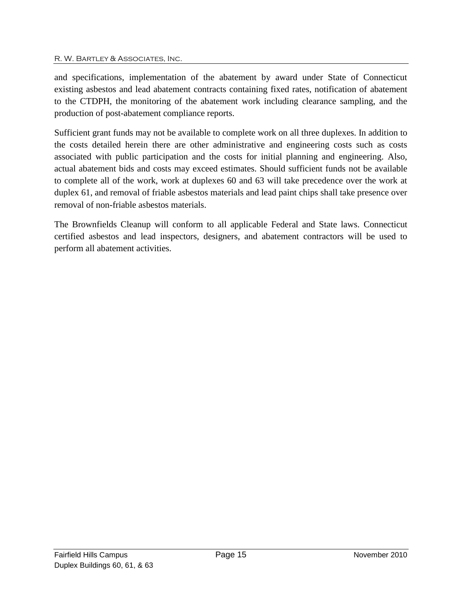and specifications, implementation of the abatement by award under State of Connecticut existing asbestos and lead abatement contracts containing fixed rates, notification of abatement to the CTDPH, the monitoring of the abatement work including clearance sampling, and the production of post-abatement compliance reports.

Sufficient grant funds may not be available to complete work on all three duplexes. In addition to the costs detailed herein there are other administrative and engineering costs such as costs associated with public participation and the costs for initial planning and engineering. Also, actual abatement bids and costs may exceed estimates. Should sufficient funds not be available to complete all of the work, work at duplexes 60 and 63 will take precedence over the work at duplex 61, and removal of friable asbestos materials and lead paint chips shall take presence over removal of non-friable asbestos materials.

The Brownfields Cleanup will conform to all applicable Federal and State laws. Connecticut certified asbestos and lead inspectors, designers, and abatement contractors will be used to perform all abatement activities.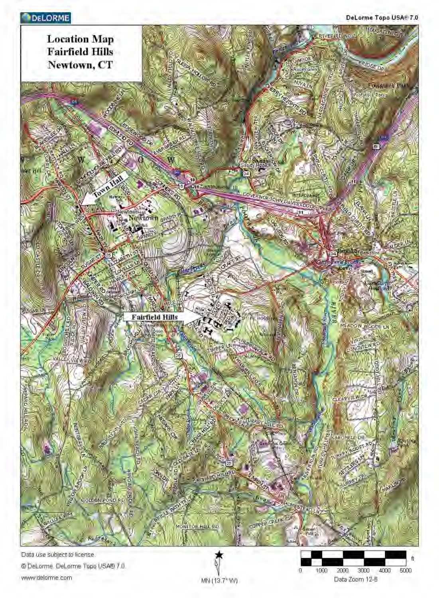# **DELORME**

DeLorme Topo USA® 7.0



@ DeLorme, DeLorme Topo USA® 7.0. www.delorme.com

ft 3000 4000 5000 O 1000 2000 Data Zoom 12-B

MN (13.7<sup>°</sup> W)